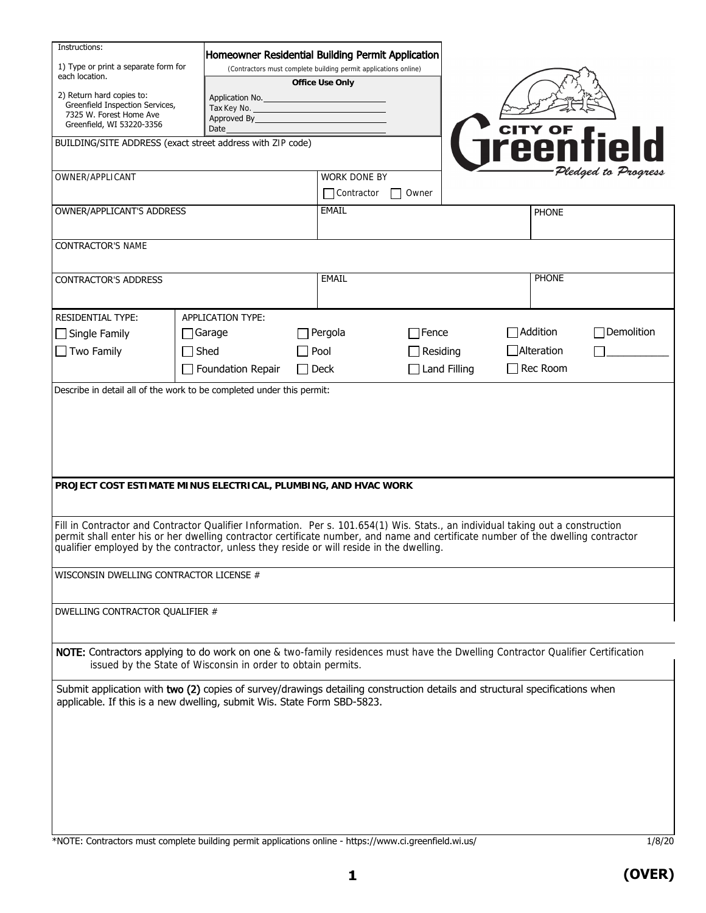| Instructions:                                                                                                                                                                                                                                                       |             |                                                                                                                      |  |                     |                     |  |              |                      |  |
|---------------------------------------------------------------------------------------------------------------------------------------------------------------------------------------------------------------------------------------------------------------------|-------------|----------------------------------------------------------------------------------------------------------------------|--|---------------------|---------------------|--|--------------|----------------------|--|
| 1) Type or print a separate form for<br>each location.                                                                                                                                                                                                              |             | Homeowner Residential Building Permit Application<br>(Contractors must complete building permit applications online) |  |                     |                     |  |              |                      |  |
|                                                                                                                                                                                                                                                                     |             | Office Use Only                                                                                                      |  |                     |                     |  |              |                      |  |
| 2) Return hard copies to:<br>Greenfield Inspection Services,                                                                                                                                                                                                        |             | Application No.<br>Tax Key No.                                                                                       |  |                     |                     |  |              |                      |  |
| 7325 W. Forest Home Ave<br>Greenfield, WI 53220-3356                                                                                                                                                                                                                |             | Approved By<br>Date                                                                                                  |  |                     |                     |  |              |                      |  |
| BUILDING/SITE ADDRESS (exact street address with ZIP code)                                                                                                                                                                                                          |             |                                                                                                                      |  |                     |                     |  |              | <b>CITY OF field</b> |  |
|                                                                                                                                                                                                                                                                     |             |                                                                                                                      |  |                     |                     |  |              |                      |  |
| OWNER/APPLICANT                                                                                                                                                                                                                                                     |             |                                                                                                                      |  | <b>WORK DONE BY</b> |                     |  |              | Pledged to Progress  |  |
|                                                                                                                                                                                                                                                                     |             |                                                                                                                      |  | Contractor<br>Owner |                     |  |              |                      |  |
| OWNER/APPLICANT'S ADDRESS                                                                                                                                                                                                                                           |             |                                                                                                                      |  | <b>EMAIL</b>        |                     |  | <b>PHONE</b> |                      |  |
|                                                                                                                                                                                                                                                                     |             |                                                                                                                      |  |                     |                     |  |              |                      |  |
| <b>CONTRACTOR'S NAME</b>                                                                                                                                                                                                                                            |             |                                                                                                                      |  |                     |                     |  |              |                      |  |
|                                                                                                                                                                                                                                                                     |             |                                                                                                                      |  | <b>EMAIL</b>        |                     |  |              |                      |  |
| <b>CONTRACTOR'S ADDRESS</b>                                                                                                                                                                                                                                         |             |                                                                                                                      |  |                     |                     |  | <b>PHONE</b> |                      |  |
|                                                                                                                                                                                                                                                                     |             |                                                                                                                      |  |                     |                     |  |              |                      |  |
| <b>RESIDENTIAL TYPE:</b>                                                                                                                                                                                                                                            |             | <b>APPLICATION TYPE:</b>                                                                                             |  |                     |                     |  |              |                      |  |
| $\Box$ Single Family                                                                                                                                                                                                                                                |             | $\Box$ Garage                                                                                                        |  | Pergola             | $\sqsupset$ Fence   |  | Addition     | Demolition           |  |
| $\Box$ Two Family                                                                                                                                                                                                                                                   | $\Box$ Shed |                                                                                                                      |  | $\exists$ Pool      | Residing            |  | Alteration   |                      |  |
|                                                                                                                                                                                                                                                                     |             | $\Box$ Foundation Repair                                                                                             |  | $\Box$ Deck         | <b>Land Filling</b> |  | Rec Room     |                      |  |
| Describe in detail all of the work to be completed under this permit:                                                                                                                                                                                               |             |                                                                                                                      |  |                     |                     |  |              |                      |  |
|                                                                                                                                                                                                                                                                     |             |                                                                                                                      |  |                     |                     |  |              |                      |  |
|                                                                                                                                                                                                                                                                     |             |                                                                                                                      |  |                     |                     |  |              |                      |  |
|                                                                                                                                                                                                                                                                     |             |                                                                                                                      |  |                     |                     |  |              |                      |  |
|                                                                                                                                                                                                                                                                     |             |                                                                                                                      |  |                     |                     |  |              |                      |  |
| PROJECT COST ESTIMATE MINUS ELECTRICAL, PLUMBING, AND HVAC WORK                                                                                                                                                                                                     |             |                                                                                                                      |  |                     |                     |  |              |                      |  |
|                                                                                                                                                                                                                                                                     |             |                                                                                                                      |  |                     |                     |  |              |                      |  |
|                                                                                                                                                                                                                                                                     |             |                                                                                                                      |  |                     |                     |  |              |                      |  |
| Fill in Contractor and Contractor Qualifier Information. Per s. 101.654(1) Wis. Stats., an individual taking out a construction<br>permit shall enter his or her dwelling contractor certificate number, and name and certificate number of the dwelling contractor |             |                                                                                                                      |  |                     |                     |  |              |                      |  |
| qualifier employed by the contractor, unless they reside or will reside in the dwelling.                                                                                                                                                                            |             |                                                                                                                      |  |                     |                     |  |              |                      |  |
|                                                                                                                                                                                                                                                                     |             |                                                                                                                      |  |                     |                     |  |              |                      |  |
| WISCONSIN DWELLING CONTRACTOR LICENSE #                                                                                                                                                                                                                             |             |                                                                                                                      |  |                     |                     |  |              |                      |  |
|                                                                                                                                                                                                                                                                     |             |                                                                                                                      |  |                     |                     |  |              |                      |  |
| DWELLING CONTRACTOR QUALIFIER #                                                                                                                                                                                                                                     |             |                                                                                                                      |  |                     |                     |  |              |                      |  |
|                                                                                                                                                                                                                                                                     |             |                                                                                                                      |  |                     |                     |  |              |                      |  |
| NOTE: Contractors applying to do work on one & two-family residences must have the Dwelling Contractor Qualifier Certification                                                                                                                                      |             |                                                                                                                      |  |                     |                     |  |              |                      |  |
|                                                                                                                                                                                                                                                                     |             | issued by the State of Wisconsin in order to obtain permits.                                                         |  |                     |                     |  |              |                      |  |
| Submit application with two (2) copies of survey/drawings detailing construction details and structural specifications when                                                                                                                                         |             |                                                                                                                      |  |                     |                     |  |              |                      |  |
| applicable. If this is a new dwelling, submit Wis. State Form SBD-5823.                                                                                                                                                                                             |             |                                                                                                                      |  |                     |                     |  |              |                      |  |
|                                                                                                                                                                                                                                                                     |             |                                                                                                                      |  |                     |                     |  |              |                      |  |
|                                                                                                                                                                                                                                                                     |             |                                                                                                                      |  |                     |                     |  |              |                      |  |
|                                                                                                                                                                                                                                                                     |             |                                                                                                                      |  |                     |                     |  |              |                      |  |
|                                                                                                                                                                                                                                                                     |             |                                                                                                                      |  |                     |                     |  |              |                      |  |
|                                                                                                                                                                                                                                                                     |             |                                                                                                                      |  |                     |                     |  |              |                      |  |
|                                                                                                                                                                                                                                                                     |             |                                                                                                                      |  |                     |                     |  |              |                      |  |
|                                                                                                                                                                                                                                                                     |             |                                                                                                                      |  |                     |                     |  |              |                      |  |